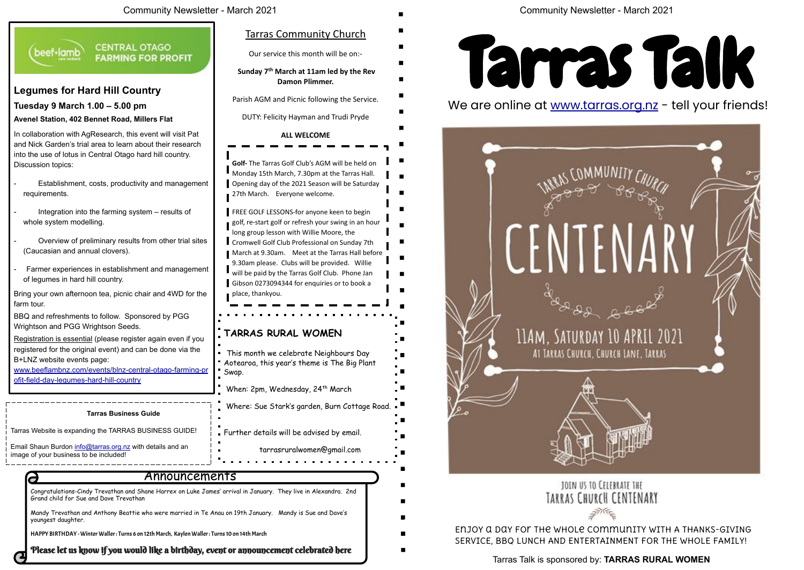Mandy Trevathan and Anthony Beattie who were married in Te Anau on 19th January. Mandy is Sue and Dave's youngest daughter.

HAPPY BIRTHDAY - Winter Waller : Turns 6 on 12th March, Kaylen Waller : Turns 10 on 14th March

Please let us know if you would like a birthday, event or announcement celebrated here

long group lesson with Willie Moore, the Cromwell Golf Club Professional on Sunday 7th March at 9.30am. Meet at the Tarras Hall before 9.30am please. Clubs will be provided. Willie will be paid by the Tarras Golf Club. Phone Jan Gibson 0273094344 for enquiries or to book a

### Tarras Talk is sponsored by: **TARRAS RURAL WOMEN**



We are online at www.tarras.org.nz - tell your friends!



### **TARRAS RURAL WOMEN**

This month we celebrate Neighbours Day Aotearoa, this year's theme is The Big Plant

When: 2pm, Wednesday, 24<sup>th</sup> March



Where: Sue Stark's garden, Burn Cottage Road.

Further details will be advised by email.

## TOIN US TO CELEBRATE THE TARRAS CHURCH CENTENARY

**Golf-** The Tarras Golf Club's AGM will be held on Monday 15th March, 7.30pm at the Tarras Hall. Opening day of the 2021 Season will be Saturday **FREE GOLF LESSONS-for anyone keen to begin** golf, re-start golf or refresh your swing in an hour Tarras Community Church Our service this month will be on:-  **Sunday 7th March at 11am led by the Rev**  Parish AGM and Picnic following the Service. DUTY: Felicity Hayman and Trudi Pryde

> Enjoy a day for the whole community with A THANKS-GIVING SERVICE, BBQ LUNCH AND ENTERTAINMENT FOR THE WHOLE FAMILY!